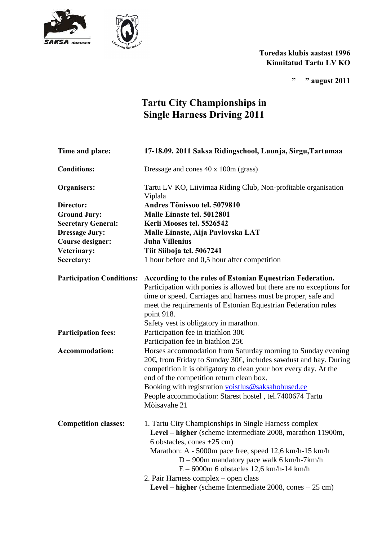



## **Toredas klubis aastast 1996 Kinnitatud Tartu LV KO**

**" " august 2011** 

## **Tartu City Championships in Single Harness Driving 2011**

| Time and place:                  | 17-18.09. 2011 Saksa Ridingschool, Luunja, Sirgu, Tartumaa                                                                                                                                                                                                          |
|----------------------------------|---------------------------------------------------------------------------------------------------------------------------------------------------------------------------------------------------------------------------------------------------------------------|
| <b>Conditions:</b>               | Dressage and cones 40 x 100m (grass)                                                                                                                                                                                                                                |
| <b>Organisers:</b>               | Tartu LV KO, Liivimaa Riding Club, Non-profitable organisation<br>Viplala                                                                                                                                                                                           |
| Director:                        | Andres Tõnissoo tel. 5079810                                                                                                                                                                                                                                        |
| <b>Ground Jury:</b>              | Malle Einaste tel. 5012801                                                                                                                                                                                                                                          |
| <b>Secretary General:</b>        | Kerli Mooses tel. 5526542                                                                                                                                                                                                                                           |
| <b>Dressage Jury:</b>            | Malle Einaste, Aija Pavlovska LAT                                                                                                                                                                                                                                   |
| <b>Course designer:</b>          | <b>Juha Villenius</b>                                                                                                                                                                                                                                               |
| Veterinary:                      | Tiit Siiboja tel. 5067241                                                                                                                                                                                                                                           |
| Secretary:                       | 1 hour before and 0,5 hour after competition                                                                                                                                                                                                                        |
| <b>Participation Conditions:</b> | According to the rules of Estonian Equestrian Federation.<br>Participation with ponies is allowed but there are no exceptions for<br>time or speed. Carriages and harness must be proper, safe and<br>meet the requirements of Estonian Equestrian Federation rules |
|                                  | point 918.                                                                                                                                                                                                                                                          |
|                                  | Safety vest is obligatory in marathon.                                                                                                                                                                                                                              |
| <b>Participation fees:</b>       | Participation fee in triathlon 30€                                                                                                                                                                                                                                  |
|                                  | Participation fee in biathlon 25€                                                                                                                                                                                                                                   |
| <b>Accommodation:</b>            | Horses accommodation from Saturday morning to Sunday evening<br>20€, from Friday to Sunday 30€, includes sawdust and hay. During<br>competition it is obligatory to clean your box every day. At the<br>end of the competition return clean box.                    |
|                                  | Booking with registration voistlus@saksahobused.ee                                                                                                                                                                                                                  |
|                                  | People accommodation: Starest hostel, tel.7400674 Tartu<br>Mõisavahe 21                                                                                                                                                                                             |
| <b>Competition classes:</b>      | 1. Tartu City Championships in Single Harness complex<br>Level – higher (scheme Intermediate 2008, marathon 11900m,<br>6 obstacles, cones $+25$ cm)<br>Marathon: A - 5000m pace free, speed 12,6 km/h-15 km/h                                                       |
|                                  | $D - 900m$ mandatory pace walk 6 km/h-7 km/h                                                                                                                                                                                                                        |
|                                  | $E - 6000m$ 6 obstacles 12,6 km/h-14 km/h                                                                                                                                                                                                                           |
|                                  | 2. Pair Harness complex – open class                                                                                                                                                                                                                                |
|                                  | Level – higher (scheme Intermediate $2008$ , cones $+ 25$ cm)                                                                                                                                                                                                       |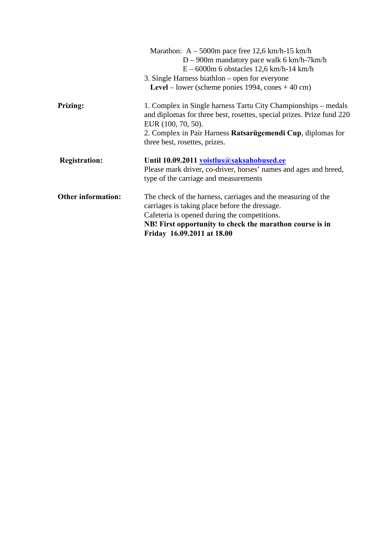|                           | Marathon: $A - 5000m$ pace free 12,6 km/h-15 km/h                                           |
|---------------------------|---------------------------------------------------------------------------------------------|
|                           | $D - 900m$ mandatory pace walk 6 km/h-7km/h                                                 |
|                           | $E - 6000$ m 6 obstacles 12,6 km/h-14 km/h                                                  |
|                           | 3. Single Harness biathlon – open for everyone                                              |
|                           | Level – lower (scheme ponies 1994, cones $+ 40$ cm)                                         |
| <b>Prizing:</b>           | 1. Complex in Single harness Tartu City Championships – medals                              |
|                           | and diplomas for three best, rosettes, special prizes. Prize fund 220<br>EUR (100, 70, 50). |
|                           | 2. Complex in Pair Harness Ratsarügemendi Cup, diplomas for                                 |
|                           | three best, rosettes, prizes.                                                               |
| <b>Registration:</b>      | Until 10.09.2011 voistlus@saksahobused.ee                                                   |
|                           | Please mark driver, co-driver, horses' names and ages and breed,                            |
|                           | type of the carriage and measurements                                                       |
| <b>Other information:</b> | The check of the harness, carriages and the measuring of the                                |
|                           | carriages is taking place before the dressage.                                              |
|                           | Cafeteria is opened during the competitions.                                                |
|                           | NB! First opportunity to check the marathon course is in                                    |
|                           | Friday 16.09.2011 at 18.00                                                                  |